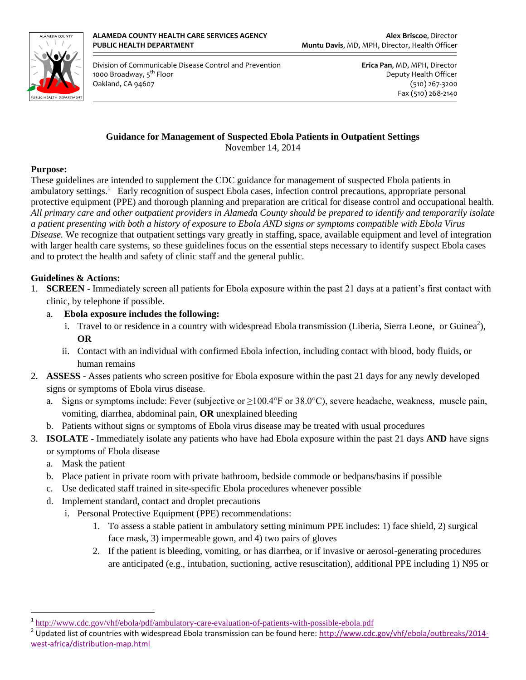

 Division of Communicable Disease Control and Prevention **Erica Pan**, MD, MPH, Director 1000 Broadway, 5<sup>th</sup> Floor **Deputy Health Officer** Deputy Health Officer Oakland, CA 94607 (510) 267-3200

Fax (510) 268-2140

### **Guidance for Management of Suspected Ebola Patients in Outpatient Settings**

November 14, 2014

#### **Purpose:**

These guidelines are intended to supplement the CDC guidance for management of suspected Ebola patients in ambulatory settings.<sup>1</sup> Early recognition of suspect Ebola cases, infection control precautions, appropriate personal protective equipment (PPE) and thorough planning and preparation are critical for disease control and occupational health. *All primary care and other outpatient providers in Alameda County should be prepared to identify and temporarily isolate a patient presenting with both a history of exposure to Ebola AND signs or symptoms compatible with Ebola Virus Disease.* We recognize that outpatient settings vary greatly in staffing, space, available equipment and level of integration with larger health care systems, so these guidelines focus on the essential steps necessary to identify suspect Ebola cases and to protect the health and safety of clinic staff and the general public.

#### **Guidelines & Actions:**

- 1. **SCREEN** Immediately screen all patients for Ebola exposure within the past 21 days at a patient's first contact with clinic, by telephone if possible.
	- a. **Ebola exposure includes the following:**
		- i. Travel to or residence in a country with widespread Ebola transmission (Liberia, Sierra Leone, or Guinea<sup>2</sup>), **OR**
		- ii. Contact with an individual with confirmed Ebola infection, including contact with blood, body fluids, or human remains
- 2. **ASSESS** Asses patients who screen positive for Ebola exposure within the past 21 days for any newly developed signs or symptoms of Ebola virus disease.
	- a. Signs or symptoms include: Fever (subjective or ≥100.4°F or 38.0°C), severe headache, weakness, muscle pain, vomiting, diarrhea, abdominal pain, **OR** unexplained bleeding
	- b. Patients without signs or symptoms of Ebola virus disease may be treated with usual procedures
- 3. **ISOLATE** Immediately isolate any patients who have had Ebola exposure within the past 21 days **AND** have signs or symptoms of Ebola disease
	- a. Mask the patient

 $\overline{a}$ 

- 
- b. Place patient in private room with private bathroom, bedside commode or bedpans/basins if possible
- c. Use dedicated staff trained in site-specific Ebola procedures whenever possible
- d. Implement standard, contact and droplet precautions
	- i. Personal Protective Equipment (PPE) recommendations:
		- 1. To assess a stable patient in ambulatory setting minimum PPE includes: 1) face shield, 2) surgical face mask, 3) impermeable gown, and 4) two pairs of gloves
		- 2. If the patient is bleeding, vomiting, or has diarrhea, or if invasive or aerosol-generating procedures are anticipated (e.g., intubation, suctioning, active resuscitation), additional PPE including 1) N95 or

<sup>&</sup>lt;sup>1</sup> <http://www.cdc.gov/vhf/ebola/pdf/ambulatory-care-evaluation-of-patients-with-possible-ebola.pdf>

<sup>&</sup>lt;sup>2</sup> Updated list of countries with widespread Ebola transmission can be found here[: http://www.cdc.gov/vhf/ebola/outbreaks/2014](http://www.cdc.gov/vhf/ebola/outbreaks/2014-west-africa/distribution-map.html) [west-africa/distribution-map.html](http://www.cdc.gov/vhf/ebola/outbreaks/2014-west-africa/distribution-map.html)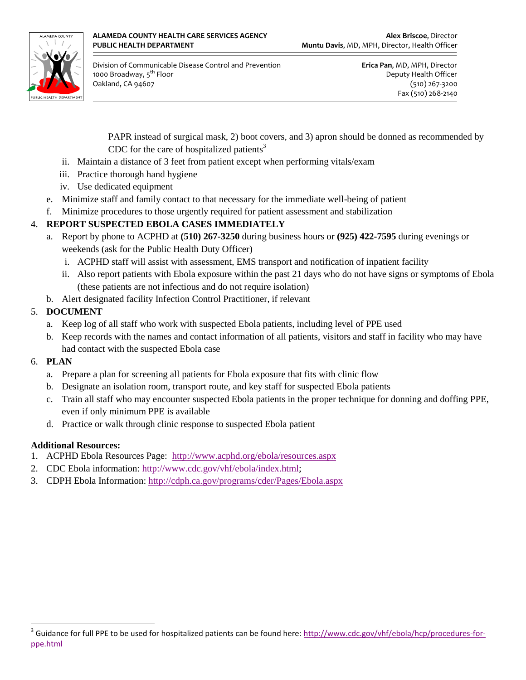

 Division of Communicable Disease Control and Prevention **Erica Pan**, MD, MPH, Director 1000 Broadway, 5<sup>th</sup> Floor **Deputy Health Officer** Deputy Health Officer Oakland, CA 94607 (510) 267-3200

Fax (510) 268-2140

PAPR instead of surgical mask, 2) boot covers, and 3) apron should be donned as recommended by CDC for the care of hospitalized patients<sup>3</sup>

- ii. Maintain a distance of 3 feet from patient except when performing vitals/exam
- iii. Practice thorough hand hygiene
- iv. Use dedicated equipment
- e. Minimize staff and family contact to that necessary for the immediate well-being of patient
- f. Minimize procedures to those urgently required for patient assessment and stabilization

# 4. **REPORT SUSPECTED EBOLA CASES IMMEDIATELY**

- a. Report by phone to ACPHD at **(510) 267-3250** during business hours or **(925) 422-7595** during evenings or weekends (ask for the Public Health Duty Officer)
	- i. ACPHD staff will assist with assessment, EMS transport and notification of inpatient facility
	- ii. Also report patients with Ebola exposure within the past 21 days who do not have signs or symptoms of Ebola (these patients are not infectious and do not require isolation)
- b. Alert designated facility Infection Control Practitioner, if relevant

# 5. **DOCUMENT**

- a. Keep log of all staff who work with suspected Ebola patients, including level of PPE used
- b. Keep records with the names and contact information of all patients, visitors and staff in facility who may have had contact with the suspected Ebola case
- 6. **PLAN**
	- a. Prepare a plan for screening all patients for Ebola exposure that fits with clinic flow
	- b. Designate an isolation room, transport route, and key staff for suspected Ebola patients
	- c. Train all staff who may encounter suspected Ebola patients in the proper technique for donning and doffing PPE, even if only minimum PPE is available
	- d. Practice or walk through clinic response to suspected Ebola patient

# **Additional Resources:**

- 1. ACPHD Ebola Resources Page: <http://www.acphd.org/ebola/resources.aspx>
- 2. CDC Ebola information: [http://www.cdc.gov/vhf/ebola/index.html;](http://www.cdc.gov/vhf/ebola/index.html)
- 3. CDPH Ebola Information:<http://cdph.ca.gov/programs/cder/Pages/Ebola.aspx>

 $\overline{a}$ <sup>3</sup> Guidance for full PPE to be used for hospitalized patients can be found here: [http://www.cdc.gov/vhf/ebola/hcp/procedures-for](http://www.cdc.gov/vhf/ebola/hcp/procedures-for-ppe.html)[ppe.html](http://www.cdc.gov/vhf/ebola/hcp/procedures-for-ppe.html)